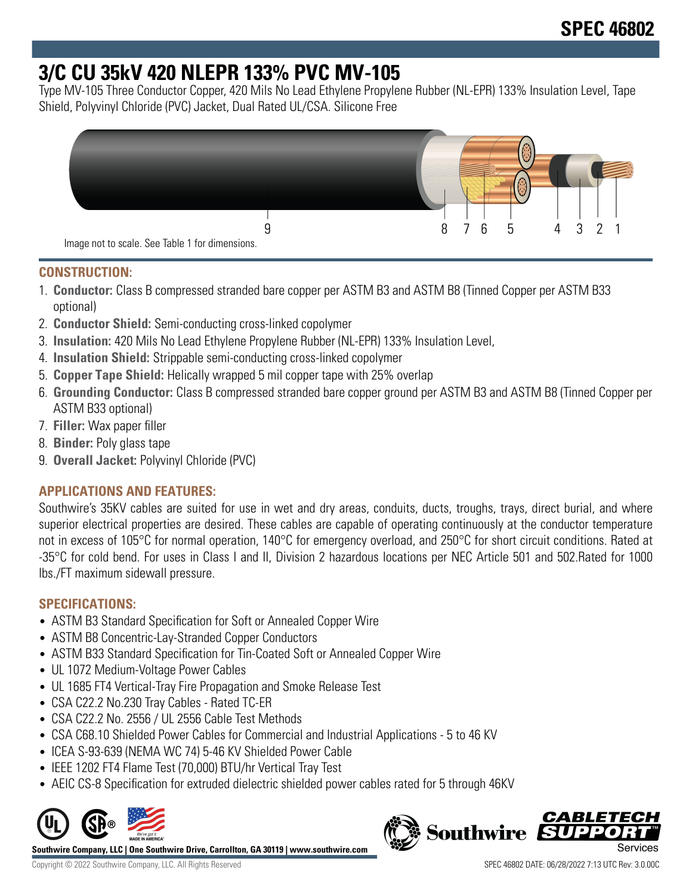# **3/C CU 35kV 420 NLEPR 133% PVC MV-105**

Type MV-105 Three Conductor Copper, 420 Mils No Lead Ethylene Propylene Rubber (NL-EPR) 133% Insulation Level, Tape Shield, Polyvinyl Chloride (PVC) Jacket, Dual Rated UL/CSA. Silicone Free



#### **CONSTRUCTION:**

- 1. **Conductor:** Class B compressed stranded bare copper per ASTM B3 and ASTM B8 (Tinned Copper per ASTM B33 optional)
- 2. **Conductor Shield:** Semi-conducting cross-linked copolymer
- 3. **Insulation:** 420 Mils No Lead Ethylene Propylene Rubber (NL-EPR) 133% Insulation Level,
- 4. **Insulation Shield:** Strippable semi-conducting cross-linked copolymer
- 5. **Copper Tape Shield:** Helically wrapped 5 mil copper tape with 25% overlap
- 6. **Grounding Conductor:** Class B compressed stranded bare copper ground per ASTM B3 and ASTM B8 (Tinned Copper per ASTM B33 optional)
- 7. **Filler:** Wax paper filler
- 8. **Binder:** Poly glass tape
- 9. **Overall Jacket:** Polyvinyl Chloride (PVC)

## **APPLICATIONS AND FEATURES:**

Southwire's 35KV cables are suited for use in wet and dry areas, conduits, ducts, troughs, trays, direct burial, and where superior electrical properties are desired. These cables are capable of operating continuously at the conductor temperature not in excess of 105°C for normal operation, 140°C for emergency overload, and 250°C for short circuit conditions. Rated at -35°C for cold bend. For uses in Class I and II, Division 2 hazardous locations per NEC Article 501 and 502.Rated for 1000 lbs./FT maximum sidewall pressure.

## **SPECIFICATIONS:**

- ASTM B3 Standard Specification for Soft or Annealed Copper Wire
- ASTM B8 Concentric-Lay-Stranded Copper Conductors
- ASTM B33 Standard Specification for Tin-Coated Soft or Annealed Copper Wire
- UL 1072 Medium-Voltage Power Cables
- UL 1685 FT4 Vertical-Tray Fire Propagation and Smoke Release Test
- CSA C22.2 No.230 Tray Cables Rated TC-ER
- CSA C22.2 No. 2556 / UL 2556 Cable Test Methods
- CSA C68.10 Shielded Power Cables for Commercial and Industrial Applications 5 to 46 KV
- ICEA S-93-639 (NEMA WC 74) 5-46 KV Shielded Power Cable
- IEEE 1202 FT4 Flame Test (70,000) BTU/hr Vertical Tray Test
- AEIC CS-8 Specification for extruded dielectric shielded power cables rated for 5 through 46KV



**Southwire Company, LLC | One Southwire Drive, Carrollton, GA 30119 | www.southwire.com**